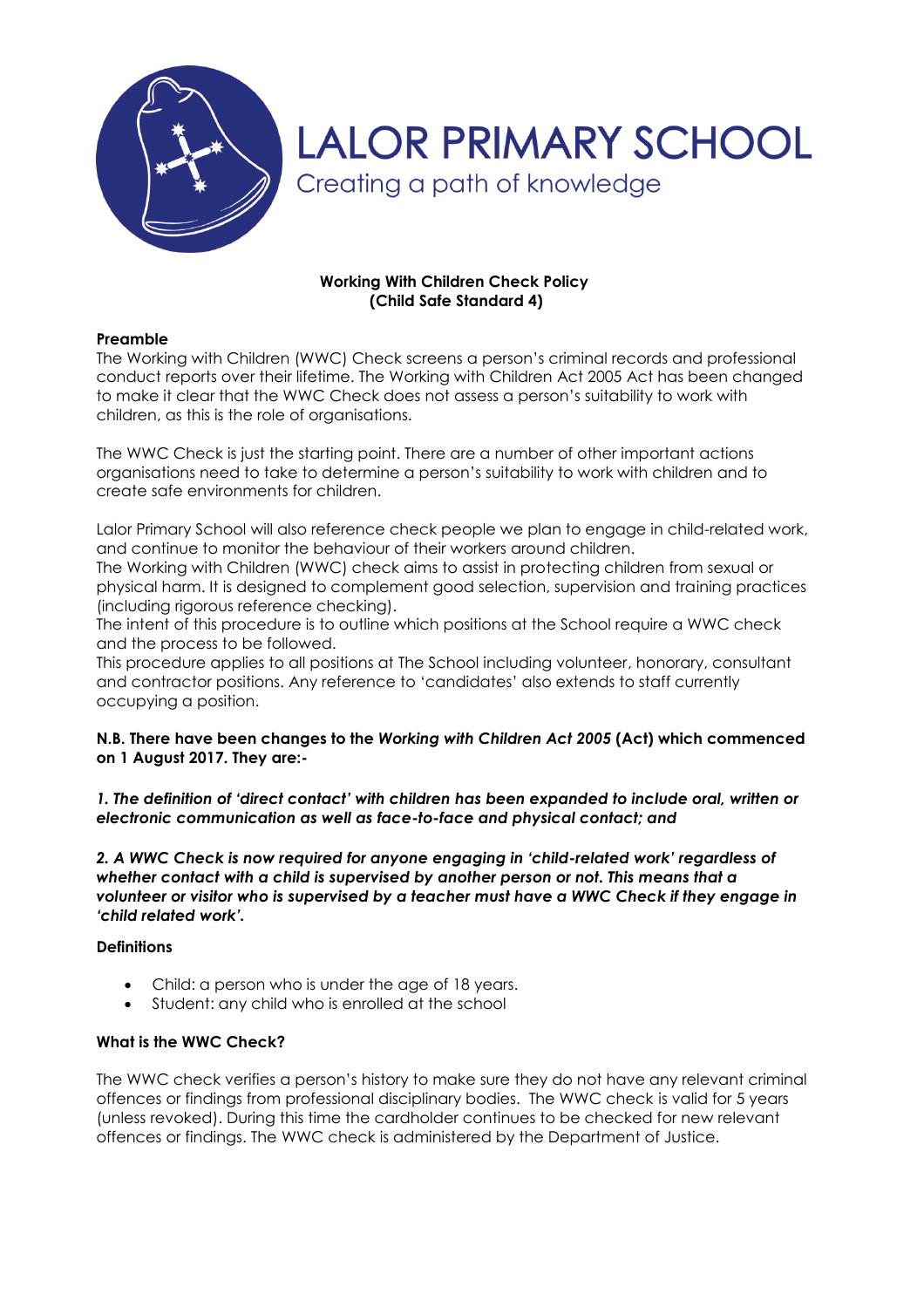

# **Working With Children Check Policy (Child Safe Standard 4)**

## **Preamble**

The Working with Children (WWC) Check screens a person's criminal records and professional conduct reports over their lifetime. The Working with Children Act 2005 Act has been changed to make it clear that the WWC Check does not assess a person's suitability to work with children, as this is the role of organisations.

The WWC Check is just the starting point. There are a number of other important actions organisations need to take to determine a person's suitability to work with children and to create safe environments for children.

Lalor Primary School will also reference check people we plan to engage in child-related work, and continue to monitor the behaviour of their workers around children.

The Working with Children (WWC) check aims to assist in protecting children from sexual or physical harm. It is designed to complement good selection, supervision and training practices (including rigorous reference checking).

The intent of this procedure is to outline which positions at the School require a WWC check and the process to be followed.

This procedure applies to all positions at The School including volunteer, honorary, consultant and contractor positions. Any reference to 'candidates' also extends to staff currently occupying a position.

## **N.B. There have been changes to the** *Working with Children Act 2005* **(Act) which commenced on 1 August 2017. They are:-**

*1. The definition of 'direct contact' with children has been expanded to include oral, written or electronic communication as well as face-to-face and physical contact; and*

*2. A WWC Check is now required for anyone engaging in 'child-related work' regardless of whether contact with a child is supervised by another person or not. This means that a volunteer or visitor who is supervised by a teacher must have a WWC Check if they engage in 'child related work'.*

#### **Definitions**

- Child: a person who is under the age of 18 years.
- Student: any child who is enrolled at the school

#### **What is the WWC Check?**

The WWC check verifies a person's history to make sure they do not have any relevant criminal offences or findings from professional disciplinary bodies. The WWC check is valid for 5 years (unless revoked). During this time the cardholder continues to be checked for new relevant offences or findings. The WWC check is administered by the Department of Justice.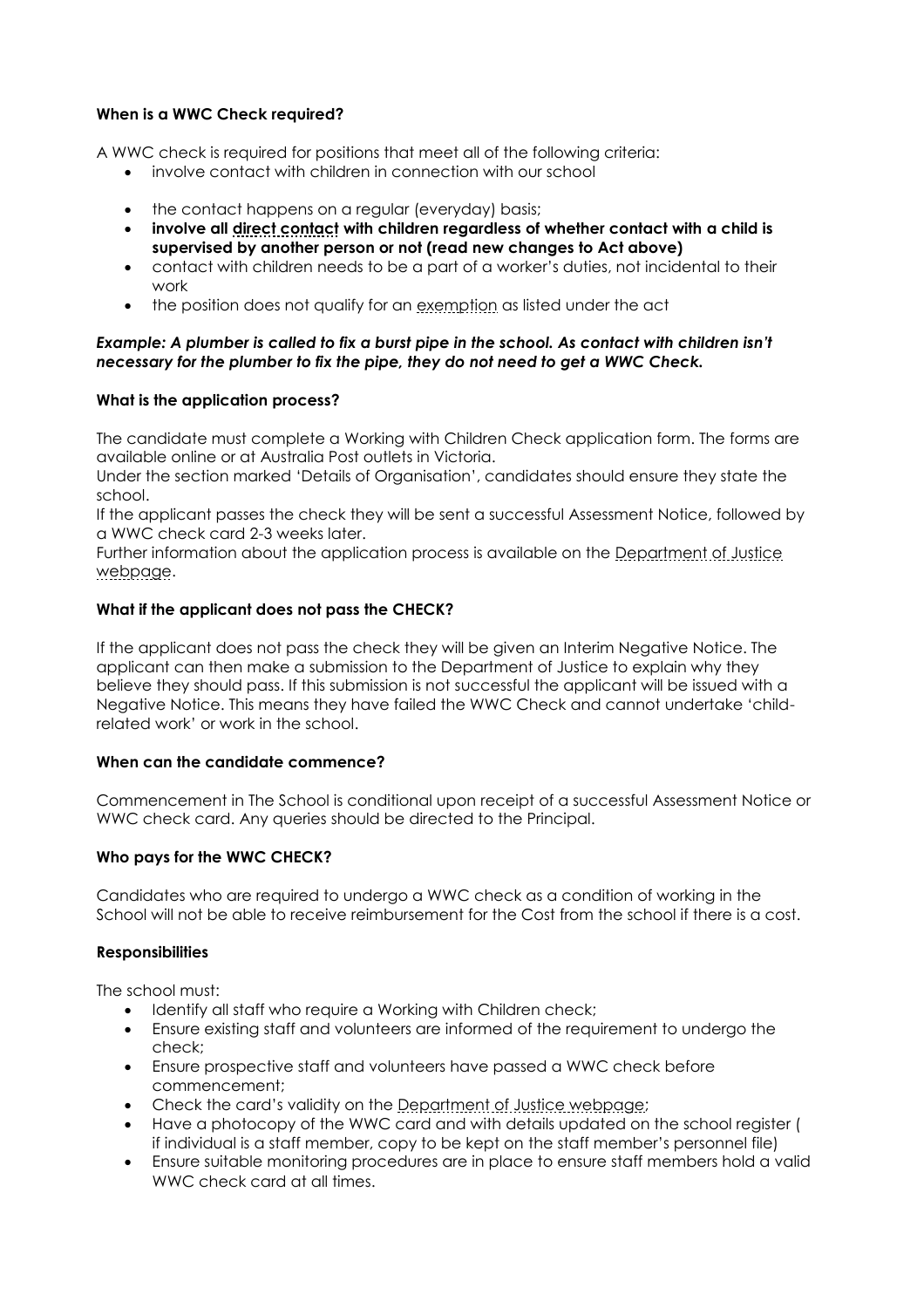# **When is a WWC Check required?**

A WWC check is required for positions that meet all of the following criteria:

- involve contact with children in connection with our school
- the contact happens on a regular (everyday) basis;
- **involve all [direct contact](http://www.justice.vic.gov.au/wps/wcm/connect/Working+With+Children/Home/Application+Process/Who+Needs+to+Apply/) with children regardless of whether contact with a child is supervised by another person or not (read new changes to Act above)**
- contact with children needs to be a part of a worker's duties, not incidental to their work
- the position does not qualify for an [exemption](http://www.justice.vic.gov.au/wps/wcm/connect/Working+With+Children/Home/Application+Process/Who+Needs+to+Apply/WWCC+-+Exemptions+from+Applying+for+a+Check) as listed under the act

### *Example: A plumber is called to fix a burst pipe in the school. As contact with children isn't necessary for the plumber to fix the pipe, they do not need to get a WWC Check.*

## **What is the application process?**

The candidate must complete a Working with Children Check application form. The forms are available online or at Australia Post outlets in Victoria.

Under the section marked 'Details of Organisation', candidates should ensure they state the school.

If the applicant passes the check they will be sent a successful Assessment Notice, followed by a WWC check card 2-3 weeks later.

Further information about the application process is available on the Department of Justice [webpage.](https://online.justice.vic.gov.au/wwc/wwc-online-check)

## **What if the applicant does not pass the CHECK?**

If the applicant does not pass the check they will be given an Interim Negative Notice. The applicant can then make a submission to the Department of Justice to explain why they believe they should pass. If this submission is not successful the applicant will be issued with a Negative Notice. This means they have failed the WWC Check and cannot undertake 'childrelated work' or work in the school.

### **When can the candidate commence?**

Commencement in The School is conditional upon receipt of a successful Assessment Notice or WWC check card. Any queries should be directed to the Principal.

# **Who pays for the WWC CHECK?**

Candidates who are required to undergo a WWC check as a condition of working in the School will not be able to receive reimbursement for the Cost from the school if there is a cost.

#### **Responsibilities**

The school must:

- Identify all staff who require a Working with Children check;
- Ensure existing staff and volunteers are informed of the requirement to undergo the check;
- Ensure prospective staff and volunteers have passed a WWC check before commencement;
- Check the card's validity on the [Department of Justice webpage;](https://online.justice.vic.gov.au/wwc/wwc-online-check)
- Have a photocopy of the WWC card and with details updated on the school register ( if individual is a staff member, copy to be kept on the staff member's personnel file)
- Ensure suitable monitoring procedures are in place to ensure staff members hold a valid WWC check card at all times.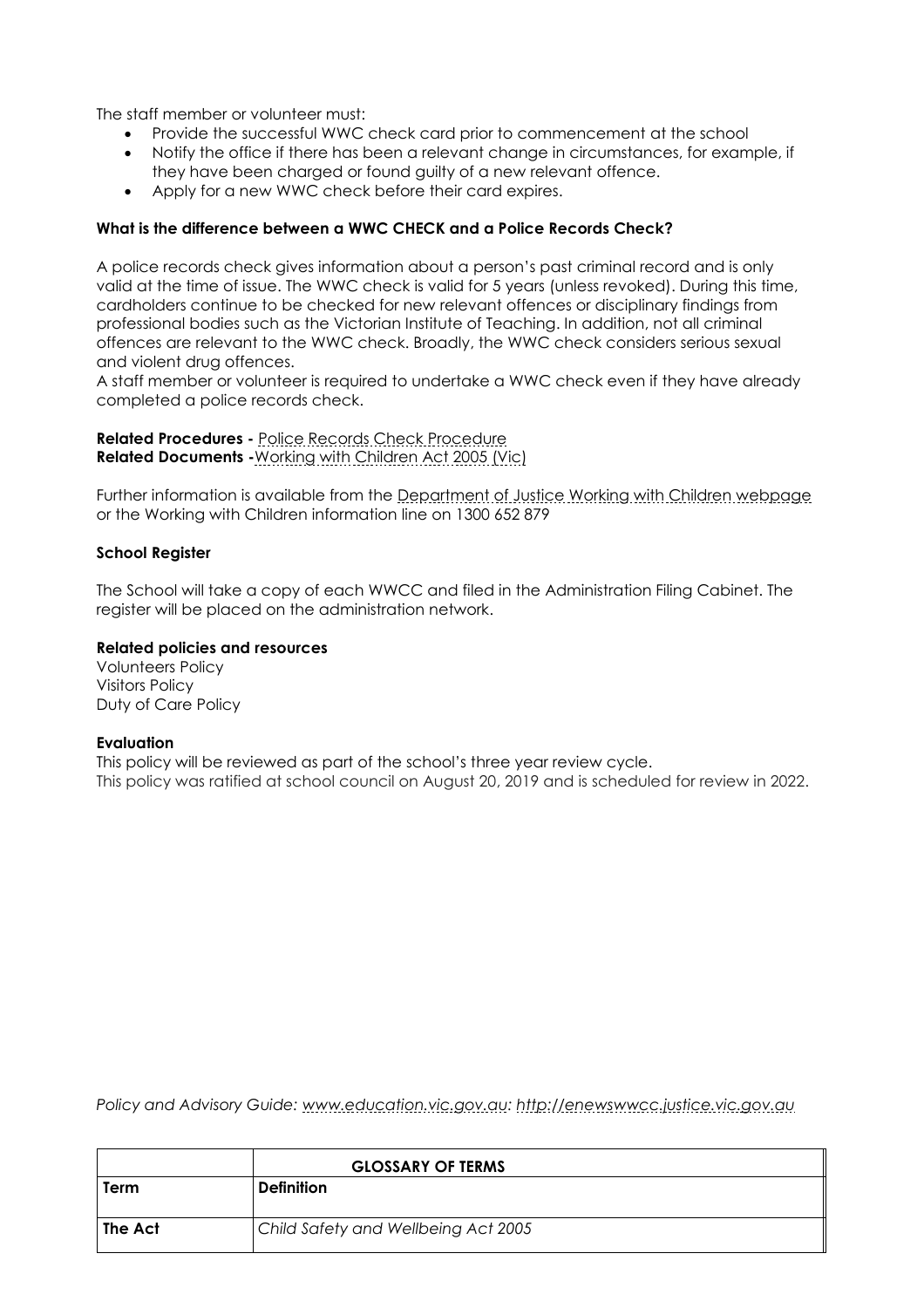The staff member or volunteer must:

- Provide the successful WWC check card prior to commencement at the school
- Notify the office if there has been a relevant change in circumstances, for example, if they have been charged or found guilty of a new relevant offence.
- Apply for a new WWC check before their card expires.

## **What is the difference between a WWC CHECK and a Police Records Check?**

A police records check gives information about a person's past criminal record and is only valid at the time of issue. The WWC check is valid for 5 years (unless revoked). During this time, cardholders continue to be checked for new relevant offences or disciplinary findings from professional bodies such as the Victorian Institute of Teaching. In addition, not all criminal offences are relevant to the WWC check. Broadly, the WWC check considers serious sexual and violent drug offences.

A staff member or volunteer is required to undertake a WWC check even if they have already completed a police records check.

**Related Procedures -** [Police Records Check Procedure](http://www.adm.monash.edu.au/workplace-policy/conduct-compliance/police-records/procedures.html)  **Related Documents -**[Working with Children Act 2005 \(Vic\)](http://www.justice.vic.gov.au/wps/wcm/connect/Working+With+Children/Home/WWCC+-+Working+with+Children+Act+2005)

Further information is available from the [Department of Justice Working with Children webpage](http://www.justice.vic.gov.au/workingwithchildren) or the Working with Children information line on 1300 652 879

#### **School Register**

The School will take a copy of each WWCC and filed in the Administration Filing Cabinet. The register will be placed on the administration network.

#### **Related policies and resources**

Volunteers Policy Visitors Policy Duty of Care Policy

#### **Evaluation**

This policy will be reviewed as part of the school's three year review cycle. This policy was ratified at school council on August 20, 2019 and is scheduled for review in 2022.

*Policy and Advisory Guide: [www.education.vic.gov.au:](http://www.education.vic.gov.au/) [http://enewswwcc.justice.vic.gov.au](http://enewswwcc.justice.vic.gov.au/)*

|         | <b>GLOSSARY OF TERMS</b>            |
|---------|-------------------------------------|
| Term    | <b>Definition</b>                   |
| The Act | Child Safety and Wellbeing Act 2005 |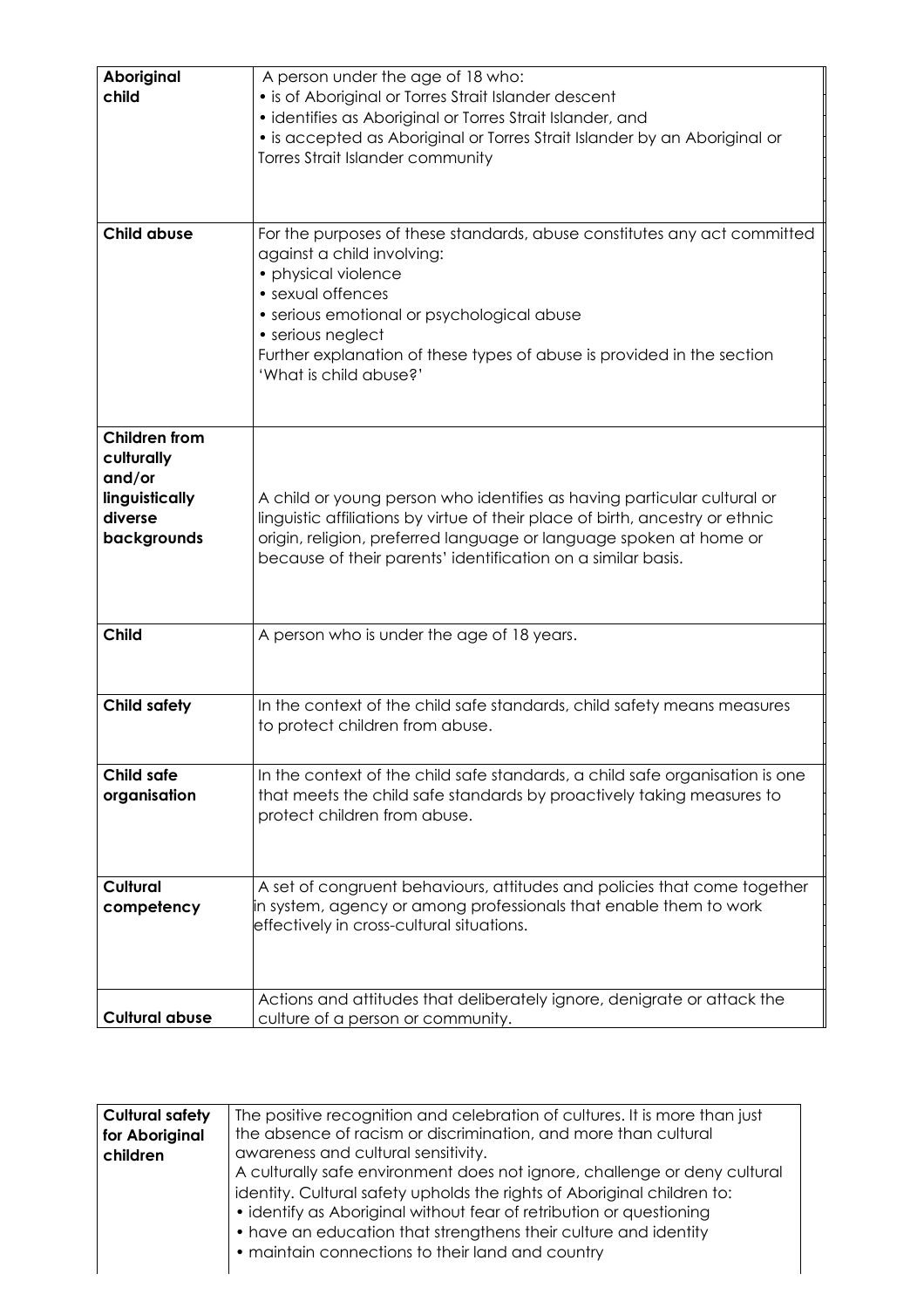| Aboriginal<br>child   | A person under the age of 18 who:<br>• is of Aboriginal or Torres Strait Islander descent                      |
|-----------------------|----------------------------------------------------------------------------------------------------------------|
|                       | · identifies as Aboriginal or Torres Strait Islander, and                                                      |
|                       | • is accepted as Aboriginal or Torres Strait Islander by an Aboriginal or                                      |
|                       | Torres Strait Islander community                                                                               |
|                       |                                                                                                                |
|                       |                                                                                                                |
|                       |                                                                                                                |
| <b>Child abuse</b>    | For the purposes of these standards, abuse constitutes any act committed                                       |
|                       | against a child involving:                                                                                     |
|                       | • physical violence                                                                                            |
|                       | • sexual offences                                                                                              |
|                       | · serious emotional or psychological abuse                                                                     |
|                       | • serious neglect                                                                                              |
|                       | Further explanation of these types of abuse is provided in the section                                         |
|                       | 'What is child abuse?'                                                                                         |
|                       |                                                                                                                |
|                       |                                                                                                                |
| <b>Children from</b>  |                                                                                                                |
| culturally            |                                                                                                                |
| and/or                |                                                                                                                |
|                       |                                                                                                                |
| linguistically        | A child or young person who identifies as having particular cultural or                                        |
| diverse               | linguistic affiliations by virtue of their place of birth, ancestry or ethnic                                  |
| backgrounds           | origin, religion, preferred language or language spoken at home or                                             |
|                       | because of their parents' identification on a similar basis.                                                   |
|                       |                                                                                                                |
|                       |                                                                                                                |
| <b>Child</b>          | A person who is under the age of 18 years.                                                                     |
|                       |                                                                                                                |
|                       |                                                                                                                |
|                       |                                                                                                                |
| <b>Child safety</b>   | In the context of the child safe standards, child safety means measures                                        |
|                       | to protect children from abuse.                                                                                |
|                       |                                                                                                                |
| <b>Child safe</b>     | In the context of the child safe standards, a child safe organisation is one                                   |
| organisation          | that meets the child safe standards by proactively taking measures to                                          |
|                       | protect children from abuse.                                                                                   |
|                       |                                                                                                                |
|                       |                                                                                                                |
|                       |                                                                                                                |
| Cultural              | A set of congruent behaviours, attitudes and policies that come together                                       |
| competency            | in system, agency or among professionals that enable them to work<br>effectively in cross-cultural situations. |
|                       |                                                                                                                |
|                       |                                                                                                                |
|                       |                                                                                                                |
|                       | Actions and attitudes that deliberately ignore, denigrate or attack the                                        |
| <b>Cultural abuse</b> | culture of a person or community.                                                                              |

| <b>Cultural safety</b> | The positive recognition and celebration of cultures. It is more than just |
|------------------------|----------------------------------------------------------------------------|
| for Aboriginal         | the absence of racism or discrimination, and more than cultural            |
| children               | awareness and cultural sensitivity.                                        |
|                        | A culturally safe environment does not ignore, challenge or deny cultural  |
|                        | identity. Cultural safety upholds the rights of Aboriginal children to:    |
|                        | • identify as Aboriginal without fear of retribution or questioning        |
|                        | • have an education that strengthens their culture and identity            |
|                        | • maintain connections to their land and country                           |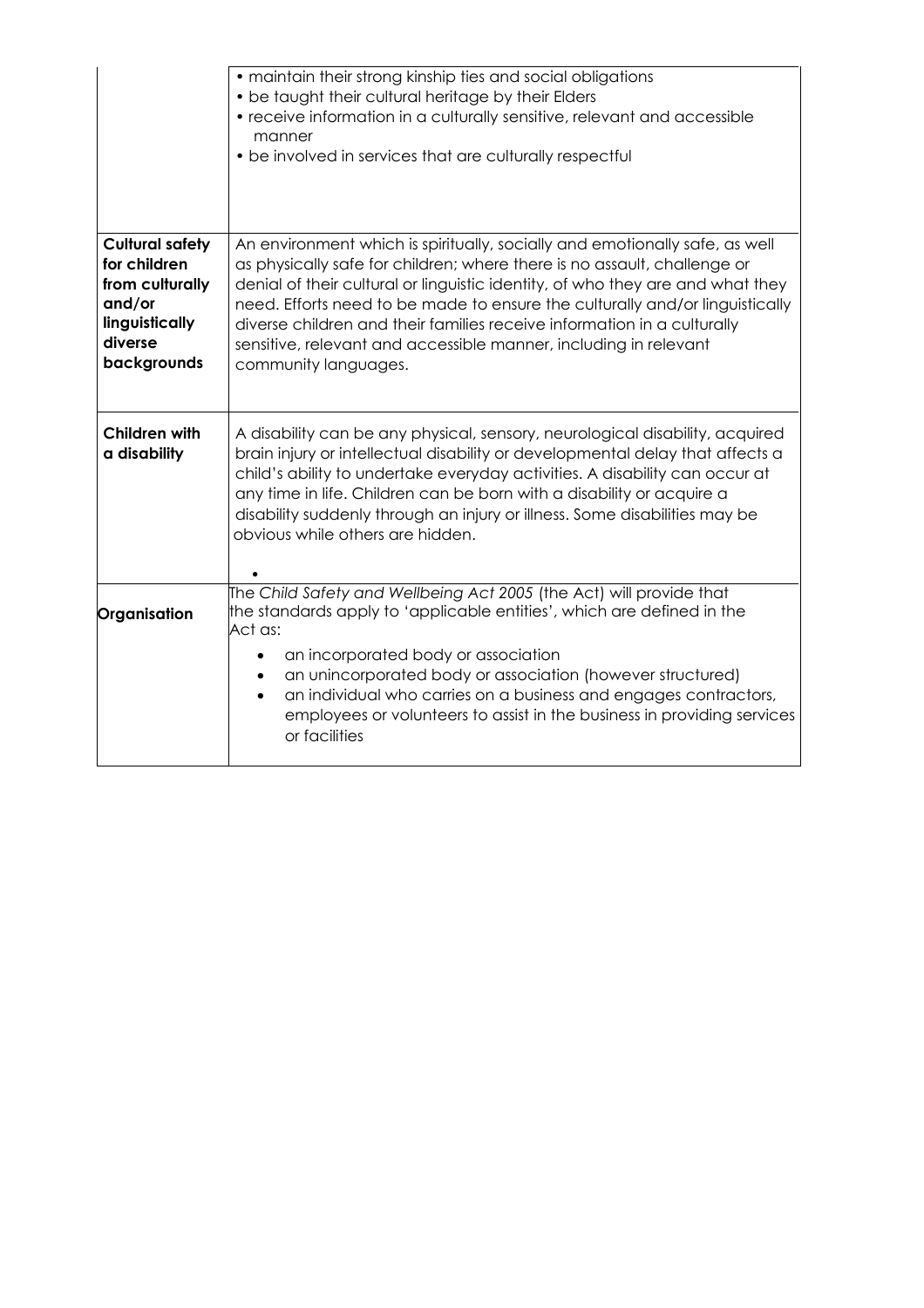|                                                                                                                 | • maintain their strong kinship ties and social obligations<br>• be taught their cultural heritage by their Elders<br>• receive information in a culturally sensitive, relevant and accessible<br>manner<br>• be involved in services that are culturally respectful                                                                                                                                                                                                                             |
|-----------------------------------------------------------------------------------------------------------------|--------------------------------------------------------------------------------------------------------------------------------------------------------------------------------------------------------------------------------------------------------------------------------------------------------------------------------------------------------------------------------------------------------------------------------------------------------------------------------------------------|
| <b>Cultural safety</b><br>for children<br>from culturally<br>and/or<br>linguistically<br>diverse<br>backgrounds | An environment which is spiritually, socially and emotionally safe, as well<br>as physically safe for children; where there is no assault, challenge or<br>denial of their cultural or linguistic identity, of who they are and what they<br>need. Efforts need to be made to ensure the culturally and/or linguistically<br>diverse children and their families receive information in a culturally<br>sensitive, relevant and accessible manner, including in relevant<br>community languages. |
| <b>Children with</b><br>a disability                                                                            | A disability can be any physical, sensory, neurological disability, acquired<br>brain injury or intellectual disability or developmental delay that affects a<br>child's ability to undertake everyday activities. A disability can occur at<br>any time in life. Children can be born with a disability or acquire a<br>disability suddenly through an injury or illness. Some disabilities may be<br>obvious while others are hidden.                                                          |
| Organisation                                                                                                    | The Child Safety and Wellbeing Act 2005 (the Act) will provide that<br>the standards apply to 'applicable entities', which are defined in the<br>Act as:<br>an incorporated body or association<br>an unincorporated body or association (however structured)<br>an individual who carries on a business and engages contractors,<br>$\bullet$<br>employees or volunteers to assist in the business in providing services<br>or facilities                                                       |